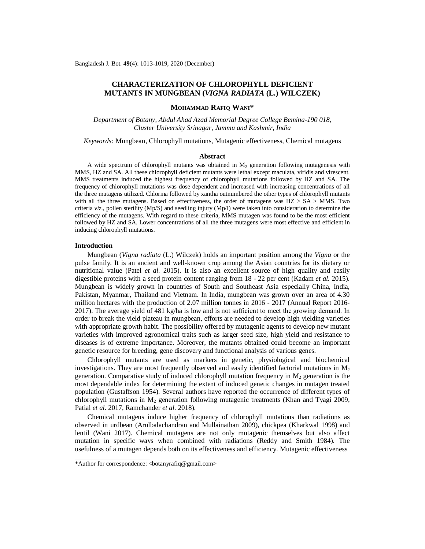# **CHARACTERIZATION OF CHLOROPHYLL DEFICIENT MUTANTS IN MUNGBEAN (***VIGNA RADIATA* **(L.) WILCZEK)**

## **MOHAMMAD RAFIQ WANI\***

*Department of Botany, Abdul Ahad Azad Memorial Degree College Bemina-190 018, Cluster University Srinagar, Jammu and Kashmir, India*

*Keywords:* Mungbean, Chlorophyll mutations, Mutagenic effectiveness, Chemical mutagens

#### **Abstract**

A wide spectrum of chlorophyll mutants was obtained in  $M_2$  generation following mutagenesis with MMS, HZ and SA. All these chlorophyll deficient mutants were lethal except maculata, viridis and virescent. MMS treatments induced the highest frequency of chlorophyll mutations followed by HZ and SA. The frequency of chlorophyll mutations was dose dependent and increased with increasing concentrations of all the three mutagens utilized. Chlorina followed by xantha outnumbered the other types of chlorophyll mutants with all the three mutagens. Based on effectiveness, the order of mutagens was  $HZ > SA > MMS$ . Two criteria *viz.,* pollen sterility (Mp/S) and seedling injury (Mp/I) were taken into consideration to determine the efficiency of the mutagens. With regard to these criteria, MMS mutagen was found to be the most efficient followed by HZ and SA. Lower concentrations of all the three mutagens were most effective and efficient in inducing chlorophyll mutations.

## **Introduction**

Mungbean (*Vigna radiata* (L.) Wilczek) holds an important position among the *Vigna* or the pulse family. It is an ancient and well-known crop among the Asian countries for its dietary or nutritional value (Patel *et al.* 2015). It is also an excellent source of high quality and easily digestible proteins with a seed protein content ranging from 18 - 22 per cent (Kadam *et al.* 2015). Mungbean is widely grown in countries of South and Southeast Asia especially China, India, Pakistan, Myanmar, Thailand and Vietnam. In India, mungbean was grown over an area of 4.30 million hectares with the production of 2.07 million tonnes in 2016 - 2017 (Annual Report 2016- 2017). The average yield of 481 kg/ha is low and is not sufficient to meet the growing demand. In order to break the yield plateau in mungbean, efforts are needed to develop high yielding varieties with appropriate growth habit. The possibility offered by mutagenic agents to develop new mutant varieties with improved agronomical traits such as larger seed size, high yield and resistance to diseases is of extreme importance. Moreover, the mutants obtained could become an important genetic resource for breeding, gene discovery and functional analysis of various genes.

Chlorophyll mutants are used as markers in genetic, physiological and biochemical investigations. They are most frequently observed and easily identified factorial mutations in  $M<sub>2</sub>$ generation. Comparative study of induced chlorophyll mutation frequency in  $M<sub>2</sub>$  generation is the most dependable index for determining the extent of induced genetic changes in mutagen treated population (Gustaffson 1954). Several authors have reported the occurrence of different types of chlorophyll mutations in  $M_2$  generation following mutagenic treatments (Khan and Tyagi 2009, Patial *et al.* 2017, Ramchander *et al*. 2018).

Chemical mutagens induce higher frequency of chlorophyll mutations than radiations as observed in urdbean (Arulbalachandran and Mullainathan 2009), chickpea (Kharkwal 1998) and lentil (Wani 2017). Chemical mutagens are not only mutagenic themselves but also affect mutation in specific ways when combined with radiations (Reddy and Smith 1984). The usefulness of a mutagen depends both on its effectiveness and efficiency. Mutagenic effectiveness

<sup>\*</sup>Author for correspondence: [<botanyrafiq@gmail.com](mailto:botanyrafiq@gmail.com)>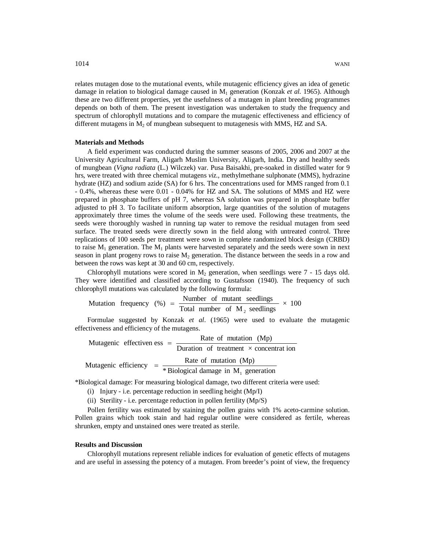relates mutagen dose to the mutational events, while mutagenic efficiency gives an idea of genetic damage in relation to biological damage caused in M<sub>1</sub> generation (Konzak *et al.* 1965). Although these are two different properties, yet the usefulness of a mutagen in plant breeding programmes depends on both of them. The present investigation was undertaken to study the frequency and spectrum of chlorophyll mutations and to compare the mutagenic effectiveness and efficiency of different mutagens in  $M_2$  of mungbean subsequent to mutagenesis with MMS, HZ and SA.

## **Materials and Methods**

A field experiment was conducted during the summer seasons of 2005, 2006 and 2007 at the University Agricultural Farm, Aligarh Muslim University, Aligarh, India. Dry and healthy seeds of mungbean (*Vigna radiata* (L.) Wilczek) var. Pusa Baisakhi, pre-soaked in distilled water for 9 hrs, were treated with three chemical mutagens *viz.,* methylmethane sulphonate (MMS), hydrazine hydrate (HZ) and sodium azide (SA) for 6 hrs. The concentrations used for MMS ranged from 0.1 - 0.4%, whereas these were 0.01 - 0.04% for HZ and SA. The solutions of MMS and HZ were prepared in phosphate buffers of pH 7, whereas SA solution was prepared in phosphate buffer adjusted to pH 3. To facilitate uniform absorption, large quantities of the solution of mutagens approximately three times the volume of the seeds were used. Following these treatments, the seeds were thoroughly washed in running tap water to remove the residual mutagen from seed surface. The treated seeds were directly sown in the field along with untreated control. Three replications of 100 seeds per treatment were sown in complete randomized block design (CRBD) to raise  $M_1$  generation. The  $M_1$  plants were harvested separately and the seeds were sown in next season in plant progeny rows to raise  $M_2$  generation. The distance between the seeds in a row and between the rows was kept at 30 and 60 cm, respectively.

Chlorophyll mutations were scored in  $M<sub>2</sub>$  generation, when seedlings were 7 - 15 days old. They were identified and classified according to Gustafsson (1940). The frequency of such chlorophyll mutations was calculated by the following formula:

 $\times$  100 Total number of  $M_2$  seedlings Mutation frequency  $(\%) = \frac{\text{Number of mutant seedlings}}{\text{The total of the end of the image}}$ 2  $=$ 

Formulae suggested by Konzak *et al*. (1965) were used to evaluate the mutagenic effectiveness and efficiency of the mutagens.

Duration of treatment  $\times$  concentration Mutagenic effectiven ess  $=$   $\frac{\text{Rate of mutation (Mp)}}{\text{Rate 1}}$ \* Biological damage in  $M_1$  generation Mutagenic efficiency =  $\frac{\text{Rate of mutation (Mp)}}{\text{Area of the surface}}$ 1  $=$ 

\*Biological damage: For measuring biological damage, two different criteria were used:

- (i) Injury i.e. percentage reduction in seedling height (Mp/I)
- (ii) Sterility i.e. percentage reduction in pollen fertility (Mp/S)

Pollen fertility was estimated by staining the pollen grains with 1% aceto-carmine solution. Pollen grains which took stain and had regular outline were considered as fertile, whereas shrunken, empty and unstained ones were treated as sterile.

## **Results and Discussion**

Chlorophyll mutations represent reliable indices for evaluation of genetic effects of mutagens and are useful in assessing the potency of a mutagen. From breeder's point of view, the frequency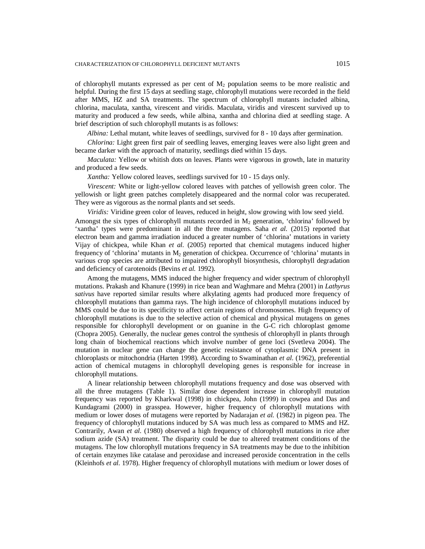## CHARACTERIZATION OF CHLOROPHYLL DEFICIENT MUTANTS 1015

of chlorophyll mutants expressed as per cent of  $M<sub>2</sub>$  population seems to be more realistic and helpful. During the first 15 days at seedling stage, chlorophyll mutations were recorded in the field after MMS, HZ and SA treatments. The spectrum of chlorophyll mutants included albina, chlorina, maculata, xantha, virescent and viridis. Maculata, viridis and virescent survived up to maturity and produced a few seeds, while albina, xantha and chlorina died at seedling stage. A brief description of such chlorophyll mutants is as follows:

*Albina:* Lethal mutant, white leaves of seedlings, survived for 8 - 10 days after germination.

*Chlorina:* Light green first pair of seedling leaves, emerging leaves were also light green and became darker with the approach of maturity, seedlings died within 15 days.

*Maculata:* Yellow or whitish dots on leaves. Plants were vigorous in growth, late in maturity and produced a few seeds.

*Xantha:* Yellow colored leaves, seedlings survived for 10 - 15 days only.

*Virescent:* White or light-yellow colored leaves with patches of yellowish green color. The yellowish or light green patches completely disappeared and the normal color was recuperated. They were as vigorous as the normal plants and set seeds.

*Viridis:* Viridine green color of leaves, reduced in height, slow growing with low seed yield. Amongst the six types of chlorophyll mutants recorded in  $M_2$  generation, 'chlorina' followed by 'xantha' types were predominant in all the three mutagens. Saha *et al.* (2015) reported that electron beam and gamma irradiation induced a greater number of 'chlorina' mutations in variety Vijay of chickpea, while Khan *et al.* (2005) reported that chemical mutagens induced higher frequency of 'chlorina' mutants in  $M_2$  generation of chickpea. Occurrence of 'chlorina' mutants in various crop species are attributed to impaired chlorophyll biosynthesis, chlorophyll degradation and deficiency of carotenoids (Bevins *et al.* 1992).

Among the mutagens, MMS induced the higher frequency and wider spectrum of chlorophyll mutations. Prakash and Khanure (1999) in rice bean and Waghmare and Mehra (2001) in *Lathyrus sativus* have reported similar results where alkylating agents had produced more frequency of chlorophyll mutations than gamma rays. The high incidence of chlorophyll mutations induced by MMS could be due to its specificity to affect certain regions of chromosomes. High frequency of chlorophyll mutations is due to the selective action of chemical and physical mutagens on genes responsible for chlorophyll development or on guanine in the G-C rich chloroplast genome (Chopra 2005). Generally, the nuclear genes control the synthesis of chlorophyll in plants through long chain of biochemical reactions which involve number of gene loci (Svetleva 2004). The mutation in nuclear gene can change the genetic resistance of cytoplasmic DNA present in chloroplasts or mitochondria (Harten 1998). According to Swaminathan *et al*. (1962), preferential action of chemical mutagens in chlorophyll developing genes is responsible for increase in chlorophyll mutations.

A linear relationship between chlorophyll mutations frequency and dose was observed with all the three mutagens (Table 1). Similar dose dependent increase in chlorophyll mutation frequency was reported by Kharkwal (1998) in chickpea, John (1999) in cowpea and Das and Kundagrami (2000) in grasspea. However, higher frequency of chlorophyll mutations with medium or lower doses of mutagens were reported by Nadarajan *et al.* (1982) in pigeon pea. The frequency of chlorophyll mutations induced by SA was much less as compared to MMS and HZ. Contrarily, Awan *et al.* (1980) observed a high frequency of chlorophyll mutations in rice after sodium azide (SA) treatment. The disparity could be due to altered treatment conditions of the mutagens. The low chlorophyll mutations frequency in SA treatments may be due to the inhibition of certain enzymes like catalase and peroxidase and increased peroxide concentration in the cells (Kleinhofs *et al.* 1978). Higher frequency of chlorophyll mutations with medium or lower doses of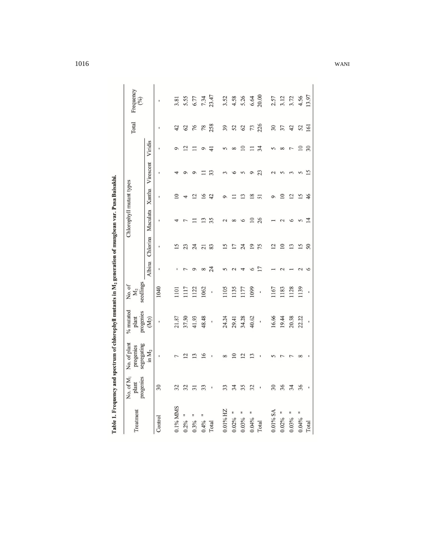| Treatment     | No. of M <sub>1</sub><br>progenies<br>plant | No. of plant<br>segregating<br>progenies | $\%$ mutated<br>progenies<br>plant | seedlings<br>No.of<br>$M_2$ |          |                       | Chlorophyll mutant types |                           |                |                 | Total | Frequency<br>(0/0) |
|---------------|---------------------------------------------|------------------------------------------|------------------------------------|-----------------------------|----------|-----------------------|--------------------------|---------------------------|----------------|-----------------|-------|--------------------|
|               |                                             | in $M_2$                                 | (Mp)                               |                             | Albina   | Chlorina              | Maculata                 | Xantha                    | Virescent      | Viridis         |       |                    |
| Control       | 30                                          |                                          |                                    | 1040                        |          |                       |                          |                           |                |                 |       |                    |
|               |                                             |                                          |                                    |                             |          |                       |                          |                           |                |                 |       |                    |
| 0.1% MMS      |                                             |                                          | 21.87                              | $\overline{10}$             |          |                       |                          |                           |                |                 | 42    | 3.81               |
| 0.2%          | 32                                          |                                          | 37.50                              | 117                         |          | 23                    |                          |                           |                |                 | 62    |                    |
| 0.3%          | $\overline{5}$                              |                                          | 41.93                              | 122                         | ⌒        | 24                    |                          | $\overline{\mathfrak{c}}$ |                |                 | 76    | 5.55<br>6.77       |
| 0.4%          | 33                                          | $\circ$                                  | 48.48                              | 1062                        | $\infty$ | $\overline{c}$        | $\tilde{\mathbf{c}}$     | $\tilde{=}$               |                | ⌒               | 78    | 7.34               |
| Total         |                                             |                                          | ı                                  |                             | 24       | 83                    | 35                       | 42                        | 33             | $\overline{+}$  | 258   | 23.47              |
| $0.01\%$ HZ   | 33                                          |                                          | 24.24                              | 1105                        |          | $\overline{\Omega}$   | $\sim$                   |                           |                |                 | 39    |                    |
| F<br>$0.02\%$ | 34                                          |                                          | 29.41                              | 1135                        |          | $\overline{1}$        | $\infty$                 |                           |                | $\infty$        | 52    | $3.52$<br>4.58     |
| $0.03\%$      | 35                                          |                                          | 34.28                              | 1177                        |          | 24                    | $\circ$                  | ن                         |                | $\supseteq$     | 62    | 5.26               |
| F<br>$0.04\%$ | 32                                          |                                          | 40.62                              | 1099                        |          | $\overline{19}$       | $\supseteq$              | $\infty$                  |                |                 | 73    | 6.64               |
| Total         |                                             |                                          | J,                                 | ı                           |          | 75                    | 26                       | 57                        | 23             | 34              | 226   | 20.00              |
| $0.01\%$ SA   | 30                                          |                                          | 16.66                              | 1167                        |          | $\mathbf{\Omega}$     |                          |                           |                |                 | 30    | 2.57               |
| Ξ<br>$0.02\%$ | 36                                          |                                          | 19.44                              | 1183                        |          |                       |                          |                           |                |                 | 37    | 3.12               |
| F<br>$0.03\%$ | 34                                          |                                          | 20.58                              | 1128                        |          | $\tilde{\mathcal{E}}$ | S                        | $\overline{2}$            |                |                 | 42    | 3.72               |
| F<br>$0.04\%$ | 36                                          |                                          | 22.22                              | 1139                        |          | 5                     | 5                        | 51                        | $\sqrt{ }$     | $\overline{10}$ | 52    | 4.56               |
| Total         |                                             |                                          |                                    |                             |          | 50                    | 4                        | $\frac{6}{5}$             | $\overline{5}$ | 30              | 161   | 13.97              |

Table 1. Frequency and spectrum of chlorophyll mutants in M<sub>2</sub> generation of mungbean var. Pusa Baisakhi.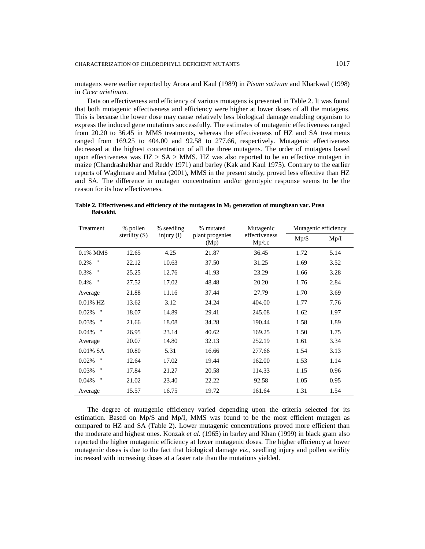mutagens were earlier reported by Arora and Kaul (1989) in *Pisum sativum* and Kharkwal (1998) in *Cicer arietinum*.

Data on effectiveness and efficiency of various mutagens is presented in Table 2. It was found that both mutagenic effectiveness and efficiency were higher at lower doses of all the mutagens. This is because the lower dose may cause relatively less biological damage enabling organism to express the induced gene mutations successfully. The estimates of mutagenic effectiveness ranged from 20.20 to 36.45 in MMS treatments, whereas the effectiveness of HZ and SA treatments ranged from 169.25 to 404.00 and 92.58 to 277.66, respectively. Mutagenic effectiveness decreased at the highest concentration of all the three mutagens. The order of mutagens based upon effectiveness was  $HZ > SA > MMS$ . HZ was also reported to be an effective mutagen in maize (Chandrashekhar and Reddy 1971) and barley (Kak and Kaul 1975). Contrary to the earlier reports of Waghmare and Mehra (2001), MMS in the present study, proved less effective than HZ and SA. The difference in mutagen concentration and/or genotypic response seems to be the reason for its low effectiveness.

**Table 2. Effectiveness and efficiency of the mutagens in M<sup>2</sup> generation of mungbean var. Pusa Baisakhi.**

| Treatment                   | % pollen        | % seedling   | % mutated               | Mutagenic               | Mutagenic efficiency |      |
|-----------------------------|-----------------|--------------|-------------------------|-------------------------|----------------------|------|
|                             | sterility $(S)$ | injury $(I)$ | plant progenies<br>(Mp) | effectiveness<br>Mp/t.c | Mp/S                 | Mp/I |
| $0.1\%$ MMS                 | 12.65           | 4.25         | 21.87                   | 36.45                   | 1.72                 | 5.14 |
| $\pmb{\mathsf{H}}$<br>0.2%  | 22.12           | 10.63        | 37.50                   | 31.25                   | 1.69                 | 3.52 |
| "<br>0.3%                   | 25.25           | 12.76        | 41.93                   | 23.29                   | 1.66                 | 3.28 |
| "<br>0.4%                   | 27.52           | 17.02        | 48.48                   | 20.20                   | 1.76                 | 2.84 |
| Average                     | 21.88           | 11.16        | 37.44                   | 27.79                   | 1.70                 | 3.69 |
| $0.01\%$ HZ                 | 13.62           | 3.12         | 24.24                   | 404.00                  | 1.77                 | 7.76 |
| $\pmb{\mathsf{H}}$<br>0.02% | 18.07           | 14.89        | 29.41                   | 245.08                  | 1.62                 | 1.97 |
| 11<br>0.03%                 | 21.66           | 18.08        | 34.28                   | 190.44                  | 1.58                 | 1.89 |
| $\pmb{\mathsf{H}}$<br>0.04% | 26.95           | 23.14        | 40.62                   | 169.25                  | 1.50                 | 1.75 |
| Average                     | 20.07           | 14.80        | 32.13                   | 252.19                  | 1.61                 | 3.34 |
| $0.01\%$ SA                 | 10.80           | 5.31         | 16.66                   | 277.66                  | 1.54                 | 3.13 |
| $\pmb{\cdot}$<br>0.02%      | 12.64           | 17.02        | 19.44                   | 162.00                  | 1.53                 | 1.14 |
| $^{\rm H}$<br>0.03%         | 17.84           | 21.27        | 20.58                   | 114.33                  | 1.15                 | 0.96 |
| $\pmb{\mathsf{H}}$<br>0.04% | 21.02           | 23.40        | 22.22                   | 92.58                   | 1.05                 | 0.95 |
| Average                     | 15.57           | 16.75        | 19.72                   | 161.64                  | 1.31                 | 1.54 |

The degree of mutagenic efficiency varied depending upon the criteria selected for its estimation. Based on Mp/S and Mp/I, MMS was found to be the most efficient mutagen as compared to HZ and SA (Table 2). Lower mutagenic concentrations proved more efficient than the moderate and highest ones. Konzak *et al*. (1965) in barley and Khan (1999) in black gram also reported the higher mutagenic efficiency at lower mutagenic doses. The higher efficiency at lower mutagenic doses is due to the fact that biological damage *viz.,* seedling injury and pollen sterility increased with increasing doses at a faster rate than the mutations yielded.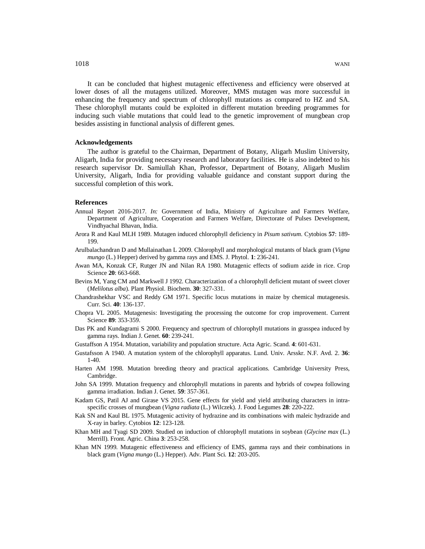It can be concluded that highest mutagenic effectiveness and efficiency were observed at lower doses of all the mutagens utilized. Moreover, MMS mutagen was more successful in enhancing the frequency and spectrum of chlorophyll mutations as compared to HZ and SA. These chlorophyll mutants could be exploited in different mutation breeding programmes for inducing such viable mutations that could lead to the genetic improvement of mungbean crop besides assisting in functional analysis of different genes.

#### **Acknowledgements**

The author is grateful to the Chairman, Department of Botany, Aligarh Muslim University, Aligarh, India for providing necessary research and laboratory facilities. He is also indebted to his research supervisor Dr. Samiullah Khan, Professor, Department of Botany, Aligarh Muslim University, Aligarh, India for providing valuable guidance and constant support during the successful completion of this work.

## **References**

- Annual Report 2016-2017. *In:* Government of India, Ministry of Agriculture and Farmers Welfare, Department of Agriculture, Cooperation and Farmers Welfare, Directorate of Pulses Development, Vindhyachal Bhavan, India.
- Arora R and Kaul MLH 1989. Mutagen induced chlorophyll deficiency in *Pisum sativum*. Cytobios **57**: 189- 199.
- Arulbalachandran D and Mullainathan L 2009. Chlorophyll and morphological mutants of black gram (*Vigna mungo* (L.) Hepper) derived by gamma rays and EMS. J. Phytol. **1**: 236-241.
- Awan MA, Konzak CF, Rutger JN and Nilan RA 1980. Mutagenic effects of sodium azide in rice. Crop Science **20**: 663-668.
- Bevins M, Yang CM and Markwell J 1992. Characterization of a chlorophyll deficient mutant of sweet clover (*Melilotus alba*). Plant Physiol. Biochem. **30**: 327-331.
- Chandrashekhar VSC and Reddy GM 1971. Specific locus mutations in maize by chemical mutagenesis. Curr. Sci. **40**: 136-137.
- Chopra VL 2005. Mutagenesis: Investigating the processing the outcome for crop improvement. Current Science **89**: 353-359.
- Das PK and Kundagrami S 2000. Frequency and spectrum of chlorophyll mutations in grasspea induced by gamma rays. Indian J. Genet. **60**: 239-241.
- Gustaffson A 1954. Mutation, variability and population structure. Acta Agric. Scand. **4**: 601-631.
- Gustafsson A 1940. A mutation system of the chlorophyll apparatus. Lund. Univ. Arsskr. N.F. Avd. 2. **36**: 1-40.
- Harten AM 1998. Mutation breeding theory and practical applications. Cambridge University Press, Cambridge.
- John SA 1999. Mutation frequency and chlorophyll mutations in parents and hybrids of cowpea following gamma irradiation. Indian J. Genet*.* **59**: 357-361.
- Kadam GS, Patil AJ and Girase VS 2015. Gene effects for yield and yield attributing characters in intraspecific crosses of mungbean (*Vigna radiata* (L.) Wilczek). J. Food Legumes **28**: 220-222.
- Kak SN and Kaul BL 1975. Mutagenic activity of hydrazine and its combinations with maleic hydrazide and X-ray in barley. Cytobios **12**: 123-128.
- Khan MH and Tyagi SD 2009. Studied on induction of chlorophyll mutations in soybean (*Glycine max* (L.) Merrill). Front. Agric. China **3**: 253-258.
- Khan MN 1999. Mutagenic effectiveness and efficiency of EMS, gamma rays and their combinations in black gram (*Vigna mungo* (L.) Hepper). Adv. Plant Sci*.* **12**: 203-205.